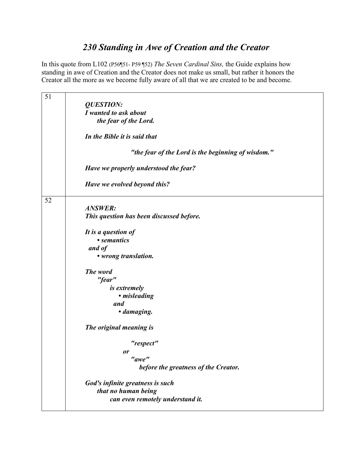## *230 Standing in Awe of Creation and the Creator*

In this quote from L102 (P56¶51- P59 ¶52) *The Seven Cardinal Sins,* the Guide explains how standing in awe of Creation and the Creator does not make us small, but rather it honors the Creator all the more as we become fully aware of all that we are created to be and become.

| 51 |                                                    |
|----|----------------------------------------------------|
|    | <b>QUESTION:</b>                                   |
|    | I wanted to ask about                              |
|    | the fear of the Lord.                              |
|    | In the Bible it is said that                       |
|    | "the fear of the Lord is the beginning of wisdom." |
|    | Have we properly understood the fear?              |
|    | Have we evolved beyond this?                       |
| 52 |                                                    |
|    | <b>ANSWER:</b>                                     |
|    | This question has been discussed before.           |
|    | It is a question of                                |
|    | • semantics                                        |
|    | and of                                             |
|    | • wrong translation.                               |
|    | The word                                           |
|    | "fear"                                             |
|    | <i>is extremely</i>                                |
|    | • misleading                                       |
|    | and                                                |
|    | · damaging.                                        |
|    | The original meaning is                            |
|    | "respect"                                          |
|    | or                                                 |
|    | "awe"                                              |
|    | before the greatness of the Creator.               |
|    | God's infinite greatness is such                   |
|    | that no human being                                |
|    | can even remotely understand it.                   |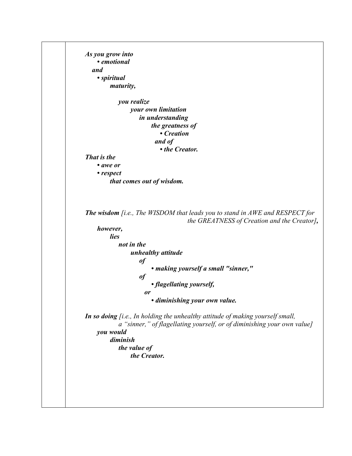*As you grow into • emotional and • spiritual maturity, you realize your own limitation in understanding the greatness of • Creation and of • the Creator. That is the • awe or • respect that comes out of wisdom. The wisdom [i.e., The WISDOM that leads you to stand in AWE and RESPECT for the GREATNESS of Creation and the Creator], however, lies not in the unhealthy attitude of • making yourself a small "sinner," of • flagellating yourself, or • diminishing your own value. In so doing [i.e., In holding the unhealthy attitude of making yourself small, a "sinner," of flagellating yourself, or of diminishing your own value] you would diminish the value of the Creator.*